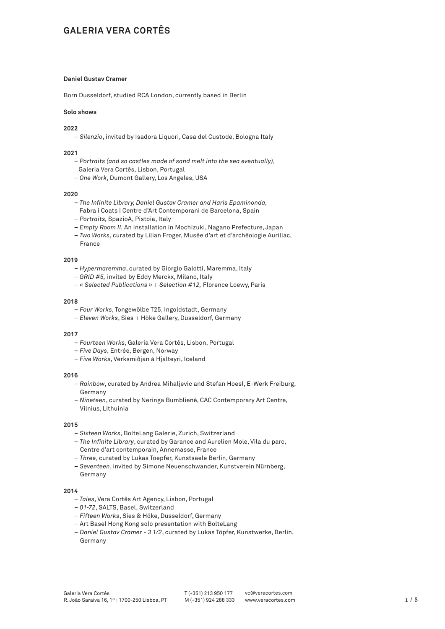# **GALERIA VERA CORTÊS**

# **Daniel Gustav Cramer**

Born Dusseldorf, studied RCA London, currently based in Berlin

#### **Solo shows**

# **2022**

– *Silenzio*, invited by Isadora Liquori, Casa del Custode, Bologna Italy

## **2021**

- *Portraits (and so castles made of sand melt into the sea eventually)*, Galeria Vera Cortês, Lisbon, Portugal
- *One Work*, Dumont Gallery, Los Angeles, USA

#### **2020**

- *The Infinite Library, Daniel Gustav Cramer and Haris Epaminonda,*  Fabra i Coats | Centre d'Art Contemporani de Barcelona, Spain
- *Portraits,* SpazioA, Pistoia, Italy
- *Empty Room II.* An installation in Mochizuki, Nagano Prefecture, Japan
- *Two Works*, curated by Lilian Froger, Musée d'art et d'archéologie Aurillac, France

# **2019**

- *Hypermaremma*, curated by Giorgio Galotti, Maremma, Italy
- *GRID #5,* invited by Eddy Merckx, Milano, Italy
- *« Selected Publications » + Selection #12,* Florence Loewy, Paris

#### **2018**

- *Four Works*, Tongewölbe T25, Ingoldstadt, Germany
- *Eleven Works*, Sies + Höke Gallery, Düsseldorf, Germany

#### **2017**

- *Fourteen Works*, Galeria Vera Cortês, Lisbon, Portugal
- *Five Days*, Entrée, Bergen, Norway
- – *Five Works*, Verksmiðjan á Hjalteyri, Iceland

#### **2016**

- *Rainbow*, curated by Andrea Mihaljevic and Stefan Hoesl, E-Werk Freiburg, Germany
- *Nineteen*, curated by Neringa Bumbliené, CAC Contemporary Art Centre, Vilnius, Lithuinia

# **2015**

- *Sixteen Works*, BolteLang Galerie, Zurich, Switzerland
- *The Infinite Library*, curated by Garance and Aurelien Mole, Vila du parc, Centre d'art contemporain, Annemasse, France
- *Three*, curated by Lukas Toepfer, Kunstsaele Berlin, Germany
- *Seventeen*, invited by Simone Neuenschwander, Kunstverein Nürnberg, Germany

- – *Tales*, Vera Cortês Art Agency, Lisbon, Portugal
- *01-72*, SALTS, Basel, Switzerland
- *Fifteen Works*, Sies & Höke, Dusseldorf, Germany
- Art Basel Hong Kong solo presentation with BolteLang
- *Daniel Gustav Cramer 3 1/2*, curated by Lukas Töpfer, Kunstwerke, Berlin, Germany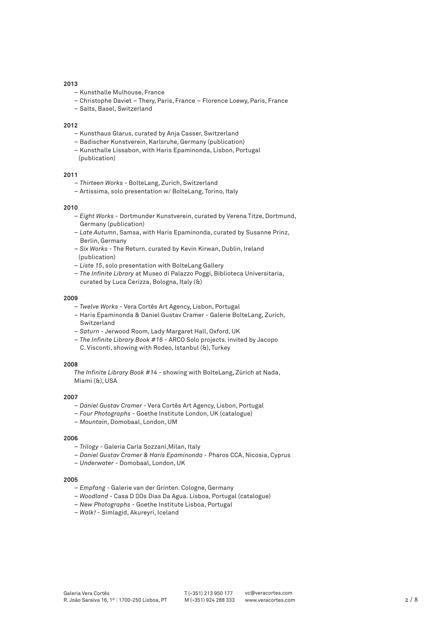- Kunsthalle Mulhouse, France
- Christophe Daviet Thery, Paris, France Florence Loewy, Paris, France
- Salts, Basel, Switzerland

#### **2012**

- Kunsthaus Glarus, curated by Anja Casser, Switzerland
- Badischer Kunstverein, Karlsruhe, Germany (publication)
- Kunsthalle Lissabon, with Haris Epaminonda, Lisbon, Portugal (publication)

#### **2011**

- *Thirteen Works* BolteLang, Zurich, Switzerland
- Artissima, solo presentation w/ BolteLang, Torino, Italy

# **2010**

- *Eight Works* Dortmunder Kunstverein, curated by Verena Titze, Dortmund, Germany (publication)
- *Late Autumn*, Samsa, with Haris Epaminonda, curated by Susanne Prinz, Berlin, Germany
- *Six Works*  The Return. curated by Kevin Kirwan, Dublin, Ireland (publication)
- *Liste 15*, solo presentation with BolteLang Gallery
- *The Infinite Library* at Museo di Palazzo Poggi, Biblioteca Universitaria, curated by Luca Cerizza, Bologna, Italy (&)

## **2009**

- *Twelve Works* Vera Cortês Art Agency, Lisbon, Portugal
- Haris Epaminonda & Daniel Gustav Cramer Galerie BolteLang, Zurich, Switzerland
- *Saturn* Jerwood Room, Lady Margaret Hall, Oxford, UK
- *The Infinite Library Book #16* ARCO Solo projects. invited by Jacopo C. Visconti, showing with Rodeo, Istanbul (&), Turkey

# **2008**

*The Infinite Library Book #14* - showing with BolteLang, Zürich at Nada, Miami (&), USA

# **2007**

- *Daniel Gustav Cramer*  Vera Cortês Art Agency, Lisbon, Portugal
- *Four Photographs* Goethe Institute London, UK (catalogue)
- *Mountain*, Domobaal, London, UM

# **2006**

- *Trilogy* Galeria Carla Sozzani,Milan, Italy
- *Daniel Gustav Cramer & Haris Epaminonda* Pharos CCA, Nicosia, Cyprus
- *Underwater* Domobaal, London, UK

- *Empfang* Galerie van der Grinten. Cologne, Germany
- *Woodland*  Casa D ́Os Dias Da Agua. Lisboa, Portugal (catalogue)
- *New Photographs* Goethe Institute Lisboa, Portugal
- *Walk!*  Simlagid, Akureyri, Iceland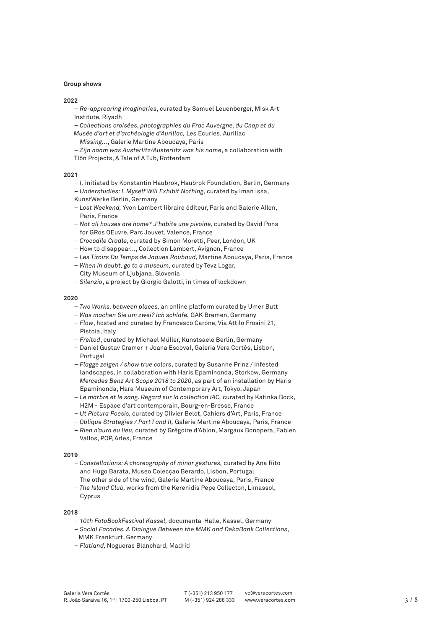#### **Group shows**

#### **2022**

- *Re-apprearing Imaginaries*, curated by Samuel Leuenberger, Misk Art Institute, Riyadh
- *Collections croisées, photographies du Frac Auvergne, du Cnap et du Musée d'art et d'archéologie d'Aurillac,* Les Ecuries, Aurillac
- – *Missing...*, Galerie Martine Aboucaya, Paris
- – *Zijn naam was Austerlitz/Austerlitz was his name*, a collaboration with Tlön Projects, A Tale of A Tub, Rotterdam

#### **2021**

- *I,* initiated by Konstantin Haubrok, Haubrok Foundation, Berlin, Germany – *Understudies: I, Myself Will Exhibit Nothing*, curated by Iman Issa,
- KunstWerke Berlin, Germany
- *Lost Weekend,* Yvon Lambert libraire éditeur, Paris and Galerie Allen, Paris, France
- *Not all houses are home\* J'habite une pivoine,* curated by David Pons for GRos OEuvre, Parc Jouvet, Valence, France
- *Crocodile Cradle*, curated by Simon Moretti, Peer, London, UK
- How to disappear..., Collection Lambert, Avignon, France
- *Les Tiroirs Du Temps de Jaques Roubaud,* Martine Aboucaya, Paris, France
- *When in doubt, go to a museum,* curated by Tevz Logar, City Museum of Ljubjana, Slovenia
- *Silenzio*, a project by Giorgio Galotti, in times of lockdown

#### **2020**

- *Two Works, between places,* an online platform curated by Umer Butt
- *Was machen Sie um zwei? Ich schlafe.* GAK Bremen, Germany
- *Flow*, hosted and curated by Francesco Carone, Via Attilo Frosini 21, Pistoia, Italy
- *Freitod*, curated by Michael Müller, Kunstsaele Berlin, Germany
- Daniel Gustav Cramer + Joana Escoval, Galeria Vera Cortês, Lisbon, Portugal
- *Flagge zeigen / show true colors*, curated by Susanne Prinz / infested landscapes, in collaboration with Haris Epaminonda, Storkow, Germany
- *Mercedes Benz Art Scope 2018 to 2020*, as part of an installation by Haris Epaminonda, Hara Museum of Contemporary Art, Tokyo, Japan
- *Le marbre et le sang. Regard sur la collection IAC,* curated by Katinka Bock, H2M - Espace d'art contemporain, Bourg-en-Bresse, France
- *Ut Pictura Poesis,* curated by Olivier Belot, Cahiers d'Art, Paris, France
- *Oblique Strategies / Part I and II,* Galerie Martine Aboucaya, Paris, France
- – *Rien n'aura eu lieu,* curated by Grégoire d'Ablon, Margaux Bonopera, Fabien Vallos, POP, Arles, France

#### **2019**

- – *Constellations: A choreography of minor gestures,* curated by Ana Rito and Hugo Barata, Museo Colecçao Berardo, Lisbon, Portugal
- The other side of the wind, Galerie Martine Aboucaya, Paris, France
- *The Island Club,* works from the Kerenidis Pepe Collecton, Limassol, Cyprus

- – *10th FotoBookFestival Kassel,* documenta-Halle, Kassel, Germany
- – *Social Facades. A Dialogue Between the MMK and DekaBank Collections*, MMK Frankfurt, Germany
- – *Flatland,* Nogueras Blanchard, Madrid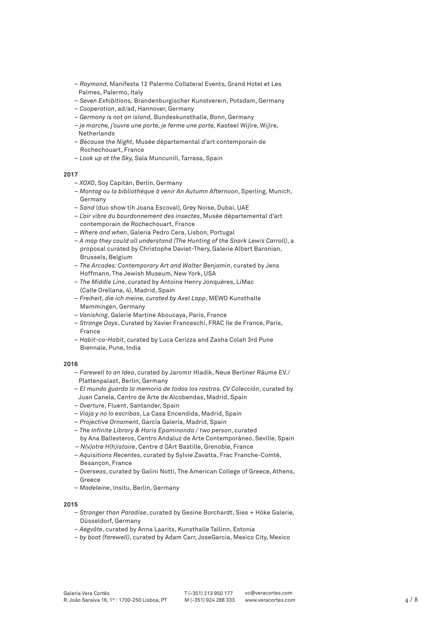- – *Raymond,* Manifesta 12 Palermo Collateral Events*,* Grand Hotel et Les Palmes, Palermo, Italy
- – *Seven Exhibitions,* Brandenburgischer Kunstverein, Potsdam, Germany
- – *Cooperation*, ad/ad, Hannover, Germany
- – *Germany is not an island,* Bundeskunsthalle, Bonn, Germany
- – *je marche, j'ouvre une porte, je ferme une porte,* Kasteel Wijlre, Wijlre, Netherlands
- – *Because the Night,* Musée départemental d'art contemporain de Rochechouart, France
- – *Look up at the Sky,* Sala Muncunill, Tarrasa, Spain

- – *XOXO*, Soy Capitán, Berlin, Germany
- *Montag ou la bibliothèque à venir An Autumn Afternoon*, Sperling, Munich, Germany
- *Sand* (duo show tih Joana Escoval), Grey Noise, Dubai, UAE
- – *L'air vibre du bourdonnement des insectes*, Musée départemental d'art contemporain de Rochechouart, France
- *Where and when*, Galeria Pedro Cera, Lisbon, Portugal
- *A map they could all understand (The Hunting of the Snark Lewis Carroll)*, a proposal curated by Christophe Daviet-Thery, Galerie Albert Baronian, Brussels, Belgium
- *The Arcades: Contemporary Art and Walter Benjamin*, curated by Jens Hoffmann, The Jewish Museum, New York, USA
- *The Middle Line*, curated by Antoine Henry Jonquères, LiMac (Calle Orellana, 4), Madrid, Spain
- *Freiheit, die ich meine, curated by Axel Lapp*, MEWO Kunsthalle Memmingen, Germany
- *Vanishing*, Galerie Martine Aboucaya, Paris, France
- *Strange Days*, Curated by Xavier Franceschi, FRAC Ile de France, Paris, France
- *Habit-co-Habit*, curated by Luca Cerizza and Zasha Colah 3rd Pune Biennale, Pune, India

# **2016**

- *Farewell to an Idea*, curated by Jaromir Hladik, Neue Berliner Räume EV./ Plattenpalast, Berlin, Germany
- *El mundo guarda la memoria de todos los rastros. CV Colección*, curated by Juan Canela, Centro de Arte de Alcobendas, Madrid, Spain
- *Overture*, Fluent, Santander, Spain
- *Viaja y no lo escribas*, La Casa Encendida, Madrid, Spain
- *Projective Ornament*, García Galería, Madrid, Spain
- – *The Infinite Library & Haris Epaminonda / two person*, curated by Ana Ballesteros, Centro Andaluz de Arte Contemporáneo, Seville, Spain
- *N(v)otre H(h)istoire*, Centre d ́Art Bastille, Grenoble, France
- – *Aquisitions Recentes*, curated by Sylvie Zavatta, Frac Franche-Comté, Besançon, France
- *Overseas*, curated by Galini Notti, The American College of Greece, Athens, Greece
- *Madeleine*, Insitu, Berlin, Germany

- *Stranger than Paradise*, curated by Gesine Borchardt, Sies + Höke Galerie, Düsseldorf, Germany
- *Aegvõte*, curated by Anna Laarits, Kunsthalle Tallinn, Estonia
- *by boat (farewell)*, curated by Adam Carr, JoseGarcia, Mexico City, Mexico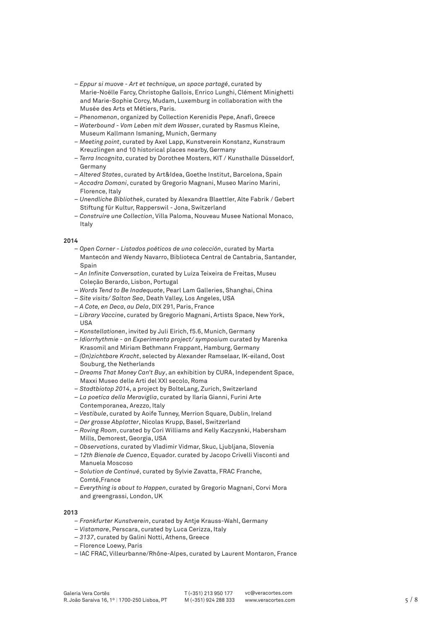- *Eppur si muove Art et technique, un space partagé*, curated by Marie-Noëlle Farcy, Christophe Gallois, Enrico Lunghi, Clément Minighetti and Marie-Sophie Corcy, Mudam, Luxemburg in collaboration with the Musée des Arts et Métiers, Paris.
- *Phenomenon*, organized by Collection Kerenidis Pepe, Anafi, Greece
- *Waterbound Vom Leben mit dem Wasser*, curated by Rasmus Kleine, Museum Kallmann Ismaning, Munich, Germany
- *Meeting point*, curated by Axel Lapp, Kunstverein Konstanz, Kunstraum Kreuzlingen and 10 historical places nearby, Germany
- – *Terra Incognita*, curated by Dorothee Mosters, KIT / Kunsthalle Düsseldorf, Germany
- *Altered States*, curated by Art&Idea, Goethe Institut, Barcelona, Spain
- *Accadra Domani*, curated by Gregorio Magnani, Museo Marino Marini, Florence, Italy
- *Unendliche Bibliothek*, curated by Alexandra Blaettler, Alte Fabrik / Gebert Stiftung für Kultur, Rapperswil - Jona, Switzerland
- *Construire une Collection*, Villa Paloma, Nouveau Musee National Monaco, Italy

- *Open Corner Listados poéticos de una colección*, curated by Marta Mantecón and Wendy Navarro, Biblioteca Central de Cantabria, Santander, Spain
- *An Infinite Conversation*, curated by Luiza Teixeira de Freitas, Museu Coleção Berardo, Lisbon, Portugal
- *Words Tend to Be Inadequate*, Pearl Lam Galleries, Shanghai, China
- *Site visits/ Salton Sea*, Death Valley, Los Angeles, USA
- *A Cote, en Deca, au Dela*, DIX 291, Paris, France
- *Library Vaccine*, curated by Gregorio Magnani, Artists Space, New York, USA
- *Konstellationen*, invited by Juli Eirich, f5.6, Munich, Germany
- *Idiorrhythmie an Experimenta project/ symposium* curated by Marenka Krasomil and Miriam Bethmann Frappant, Hamburg, Germany
- *(On)zichtbare Kracht*, selected by Alexander Ramselaar, IK-eiland, Oost Souburg, the Netherlands
- *Dreams That Money Can't Buy*, an exhibition by CURA, Independent Space, Maxxi Museo delle Arti del XXI secolo, Roma
- *Stadtbiotop 2014*, a project by BolteLang, Zurich, Switzerland
- *La poetica della Meraviglia*, curated by Ilaria Gianni, Furini Arte Contemporanea, Arezzo, Italy
- *Vestibule*, curated by Aoife Tunney, Merrion Square, Dublin, Ireland
- *Der grosse Abplatter*, Nicolas Krupp, Basel, Switzerland
- *Roving Room*, curated by Cori Williams and Kelly Kaczysnki, Habersham Mills, Demorest, Georgia, USA
- *Observations*, curated by Vladimir Vidmar, Skuc, Ljubljana, Slovenia
- *12th Bienale de Cuenca*, Equador. curated by Jacopo Crivelli Visconti and Manuela Moscoso
- *Solution de Continué*, curated by Sylvie Zavatta, FRAC Franche, Comté,France
- *Everything is about to Happen*, curated by Gregorio Magnani, Corvi Mora and greengrassi, London, UK

- *Frankfurter Kunstverein*, curated by Antje Krauss-Wahl, Germany
- *Vistamare*, Perscara, curated by Luca Cerizza, Italy
- *3137*, curated by Galini Notti, Athens, Greece
- Florence Loewy, Paris
- IAC FRAC, Villeurbanne/Rhône-Alpes, curated by Laurent Montaron, France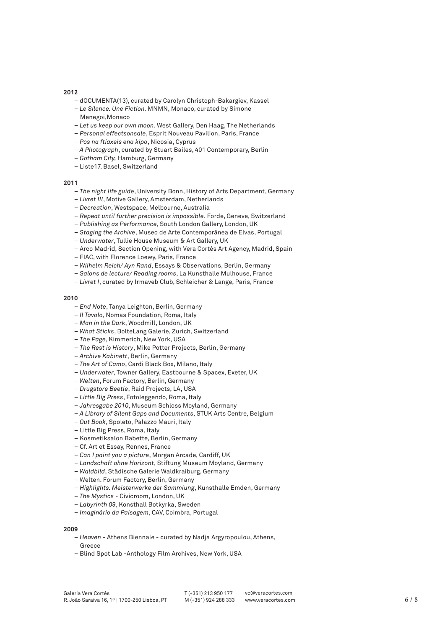- dOCUMENTA(13), curated by Carolyn Christoph-Bakargiev, Kassel
- *Le Silence. Une Fiction.* MNMN, Monaco, curated by Simone Menegoi,Monaco
- *Let us keep our own moon*. West Gallery, Den Haag, The Netherlands
- *Personal effectsonsale*, Esprit Nouveau Pavilion, Paris, France
- *Pos na ftiaxeis ena kipo*, Nicosia, Cyprus
- *A Photograph*, curated by Stuart Bailes, 401 Contemporary, Berlin
- *Gotham City,* Hamburg, Germany
- Liste17, Basel, Switzerland

#### **2011**

- *The night life guide*, University Bonn, History of Arts Department, Germany
- *Livret III*, Motive Gallery, Amsterdam, Netherlands
- *Decreation*, Westspace, Melbourne, Australia
- *Repeat until further precision is impossible.* Forde, Geneve, Switzerland
- *Publishing as Performance*, South London Gallery, London, UK
- *Staging the Archive*, Museo de Arte Contemporânea de Elvas, Portugal
- *Underwater*, Tullie House Museum & Art Gallery, UK
- Arco Madrid, Section Opening, with Vera Cortês Art Agency, Madrid, Spain
- FIAC, with Florence Loewy, Paris, France
- *Wilhelm Reich/ Ayn Rand*, Essays & Observations, Berlin, Germany
- *Salons de lecture/ Reading rooms*, La Kunsthalle Mulhouse, France
- *Livret I*, curated by Irmaveb Club, Schleicher & Lange, Paris, France

# **2010**

- *End Note*, Tanya Leighton, Berlin, Germany
- *Il Tavolo*, Nomas Foundation, Roma, Italy
- *Man in the Dark*, Woodmill, London, UK
- *What Sticks*, BolteLang Galerie, Zurich, Switzerland
- *The Page*, Kimmerich, New York, USA
- *The Rest is History*, Mike Potter Projects, Berlin, Germany
- *Archive Kabinett*, Berlin, Germany
- – *The Art of Camo*, Cardi Black Box, Milano, Italy
- – *Underwater*, Towner Gallery, Eastbourne & Spacex, Exeter, UK
- – *Welten*, Forum Factory, Berlin, Germany
- *Drugstore Beetle*, Raid Projects, LA, USA
- *Little Big Press*, Fotoleggendo, Roma, Italy
- *Jahresgabe 2010*, Museum Schloss Moyland, Germany
- *A Library of Silent Gaps and Documents*, STUK Arts Centre, Belgium
- *Out Book*, Spoleto, Palazzo Mauri, Italy
- Little Big Press, Roma, Italy
- Kosmetiksalon Babette, Berlin, Germany
- Cf. Art et Essay, Rennes, France
- *Can I paint you a picture*, Morgan Arcade, Cardiff, UK
- *Landschaft ohne Horizont*, Stiftung Museum Moyland, Germany
- *Waldbild*, Städische Galerie Waldkraiburg, Germany
- Welten. Forum Factory, Berlin, Germany
- *Highlights. Meisterwerke der Sammlung*, Kunsthalle Emden, Germany
- – *The Mystics* Civicroom, London, UK
- *Labyrinth 09*, Konsthall Botkyrka, Sweden
- *Imaginário da Paisagem*, CAV, Coimbra, Portugal

- *Heaven* Athens Biennale curated by Nadja Argyropoulou, Athens, Greece
- Blind Spot Lab -Anthology Film Archives, New York, USA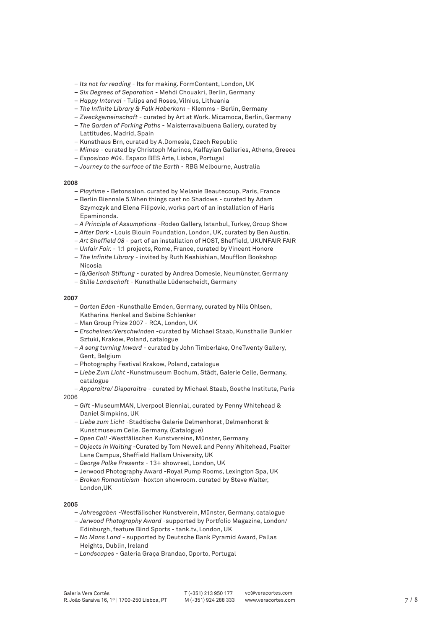- *Its not for reading*  Its for making. FormContent, London, UK
- *Six Degrees of Separation* Mehdi Chouakri, Berlin, Germany
- *Happy Interval* Tulips and Roses, Vilnius, Lithuania
- *The Infinite Library & Falk Haberkorn* Klemms Berlin, Germany
- *Zweckgemeinschaft* curated by Art at Work. Micamoca, Berlin, Germany
- *The Garden of Forking Paths*  Maisterravalbuena Gallery, curated by Lattitudes, Madrid, Spain
- Kunsthaus Brn, curated by A.Domesle, Czech Republic
- *Mimes* curated by Christoph Marinos, Kalfayian Galleries, Athens, Greece
- *Exposicao #04*. Espaco BES Arte, Lisboa, Portugal
- *Journey to the surface of the Earth* RBG Melbourne, Australia

- *Playtime*  Betonsalon. curated by Melanie Beautecoup, Paris, France
- Berlin Biennale 5.When things cast no Shadows curated by Adam Szymczyk and Elena Filipovic, works part of an installation of Haris Epaminonda.
- *A Principle of Assumptions* -Rodeo Gallery, Istanbul, Turkey, Group Show
- *After Dark*  Louis Blouin Foundation, London, UK, curated by Ben Austin.
- – *Art Sheffield 08* part of an installation of HOST, Sheffield, UKUNFAIR FAIR
- *Unfair Fair.*  1:1 projects, Rome, France, curated by Vincent Honore
- *The Infinite Library* invited by Ruth Keshishian, Moufflon Bookshop Nicosia
- *(∞)Gerisch Stiftung* curated by Andrea Domesle, Neumünster, Germany
- – *Stille Landschaft* Kunsthalle Lüdenscheidt, Germany

# **2007**

- *Garten Eden* -Kunsthalle Emden, Germany, curated by Nils Ohlsen, Katharina Henkel and Sabine Schlenker
- Man Group Prize 2007 RCA, London, UK
- *Erscheinen/Verschwinden* -curated by Michael Staab, Kunsthalle Bunkier Sztuki, Krakow, Poland, catalogue
- *A song turning Inward* curated by John Timberlake, OneTwenty Gallery, Gent, Belgium
- Photography Festival Krakow, Poland, catalogue
- – *Liebe Zum Licht* -Kunstmuseum Bochum, Städt, Galerie Celle, Germany, catalogue
- *Apparaitre/ Disparaitre* curated by Michael Staab, Goethe Institute, Paris

# 2006

- *Gift* -MuseumMAN, Liverpool Biennial, curated by Penny Whitehead & Daniel Simpkins, UK
- *Liebe zum Licht* -Stadtische Galerie Delmenhorst, Delmenhorst & Kunstmuseum Celle. Germany, (Catalogue)
- *Open Call* -Westfälischen Kunstvereins, Münster, Germany
- *Objects in Waiting* -Curated by Tom Newell and Penny Whitehead, Psalter Lane Campus, Sheffield Hallam University, UK
- – *George Polke Presents*  13+ showreel, London, UK
- Jerwood Photography Award -Royal Pump Rooms, Lexington Spa, UK
- *Broken Romanticism* -hoxton showroom. curated by Steve Walter, London,UK

- *Jahresgaben* -Westfälischer Kunstverein, Münster, Germany, catalogue
- *Jerwood Photography Award* -supported by Portfolio Magazine, London/ Edinburgh, feature Bind Sports - tank.tv, London, UK
- *No Mans Land* supported by Deutsche Bank Pyramid Award, Pallas Heights, Dublin, Ireland
- – *Landscapes*  Galeria Graça Brandao, Oporto, Portugal